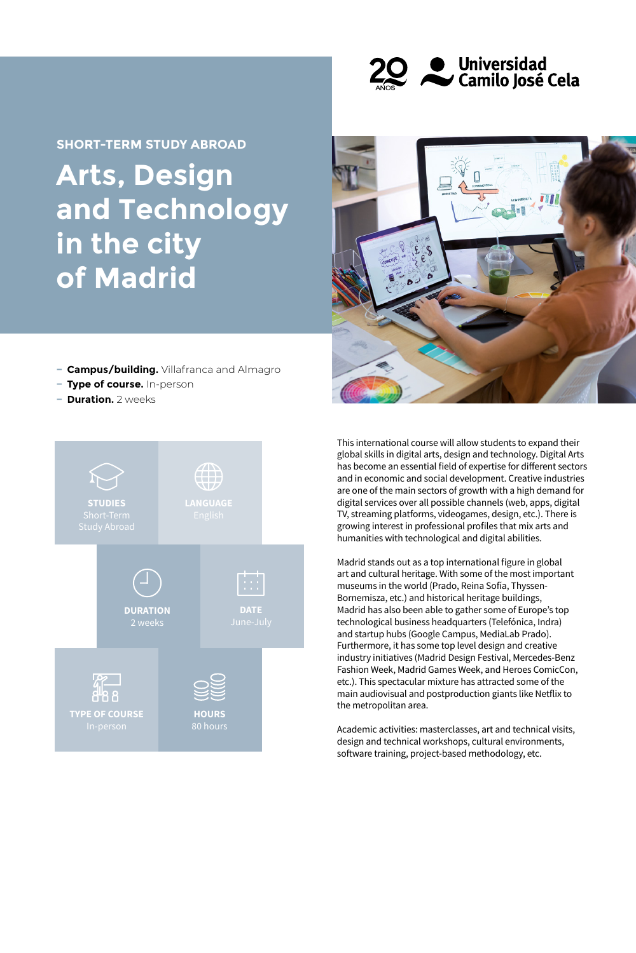

# **Arts, Design and Technology in the city of Madrid SHORT-TERM STUDY ABROAD**



- **− Campus/building.** Villafranca and Almagro
- **− Type of course.** In-person
- **− Duration.** 2 weeks



This international course will allow students to expand their global skills in digital arts, design and technology. Digital Arts has become an essential field of expertise for different sectors and in economic and social development. Creative industries are one of the main sectors of growth with a high demand for digital services over all possible channels (web, apps, digital TV, streaming platforms, videogames, design, etc.). There is growing interest in professional profiles that mix arts and humanities with technological and digital abilities.

Madrid stands out as a top international figure in global art and cultural heritage. With some of the most important museums in the world (Prado, Reina Sofía, Thyssen-Bornemisza, etc.) and historical heritage buildings, Madrid has also been able to gather some of Europe's top technological business headquarters (Telefónica, Indra) and startup hubs (Google Campus, MediaLab Prado). Furthermore, it has some top level design and creative industry initiatives (Madrid Design Festival, Mercedes-Benz Fashion Week, Madrid Games Week, and Heroes ComicCon, etc.). This spectacular mixture has attracted some of the main audiovisual and postproduction giants like Netflix to the metropolitan area.

Academic activities: masterclasses, art and technical visits, design and technical workshops, cultural environments, software training, project-based methodology, etc.